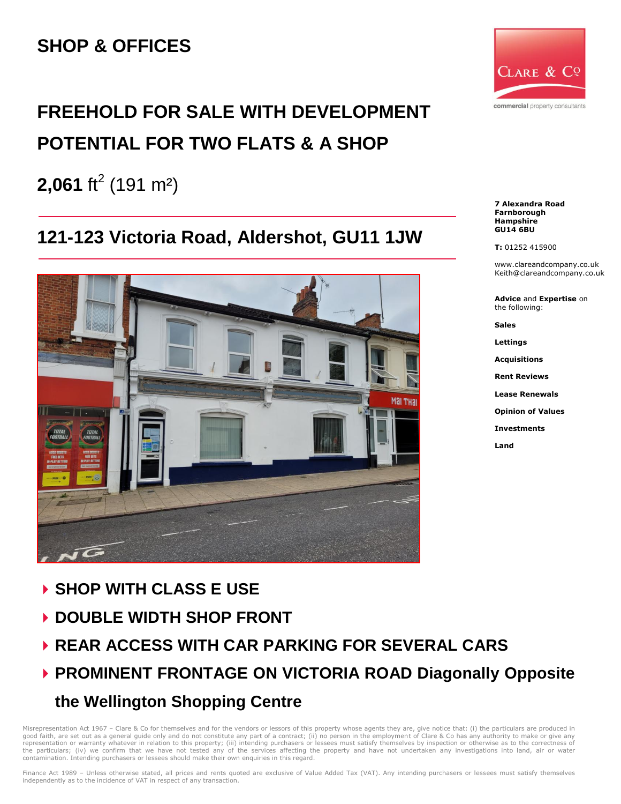# **SHOP & OFFICES**

# **FREEHOLD FOR SALE WITH DEVELOPMENT POTENTIAL FOR TWO FLATS & A SHOP**

**2,061** ft<sup>2</sup> (191 m<sup>2</sup>)

# **121-123 Victoria Road, Aldershot, GU11 1JW**



- **SHOP WITH CLASS E USE**
- **DOUBLE WIDTH SHOP FRONT**
- **REAR ACCESS WITH CAR PARKING FOR SEVERAL CARS**
- **PROMINENT FRONTAGE ON VICTORIA ROAD Diagonally Opposite the Wellington Shopping Centre**

Misrepresentation Act 1967 – Clare & Co for themselves and for the vendors or lessors of this property whose agents they are, give notice that: (i) the particulars are produced in<br>good faith, are set out as a general guide the particulars; (iv) we confirm that we have not tested any of the services affecting the property and have not undertaken any investigations into land, air or water contamination. Intending purchasers or lessees should make their own enquiries in this regard.



**7 Alexandra Road Farnborough Hampshire GU14 6BU**

**T:** 01252 415900

www.clareandcompany.co.uk Keith@clareandcompany.co.uk

**Advice** and **Expertise** on the following:

**Sales**

**Lettings**

**Acquisitions**

**Rent Reviews**

**Lease Renewals**

**Opinion of Values**

**Investments**

**Land**

Finance Act 1989 - Unless otherwise stated, all prices and rents quoted are exclusive of Value Added Tax (VAT). Any intending purchasers or lessees must satisfy themselves independently as to the incidence of VAT in respect of any transaction.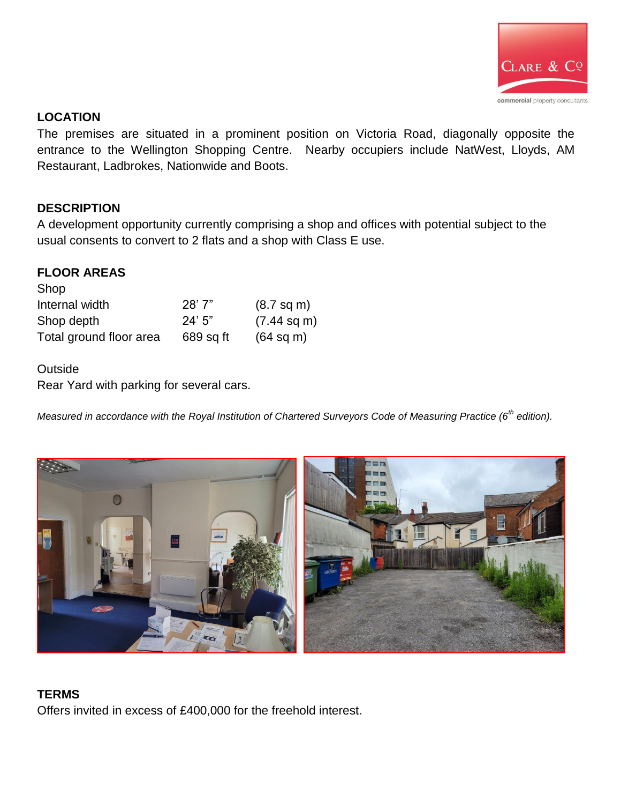

# **LOCATION**

The premises are situated in a prominent position on Victoria Road, diagonally opposite the entrance to the Wellington Shopping Centre. Nearby occupiers include NatWest, Lloyds, AM Restaurant, Ladbrokes, Nationwide and Boots.

# **DESCRIPTION**

A development opportunity currently comprising a shop and offices with potential subject to the usual consents to convert to 2 flats and a shop with Class E use.

## **FLOOR AREAS**

| <b>OHOD</b>             |           |                       |
|-------------------------|-----------|-----------------------|
| Internal width          | 28'7"     | $(8.7 \text{ sq m})$  |
| Shop depth              | 24'5''    | $(7.44 \text{ sq m})$ |
| Total ground floor area | 689 sq ft | $(64 \text{ sq m})$   |

#### **Outside**

Shop

Rear Yard with parking for several cars.

*Measured in accordance with the Royal Institution of Chartered Surveyors Code of Measuring Practice (6th edition).*



## **TERMS**

Offers invited in excess of £400,000 for the freehold interest.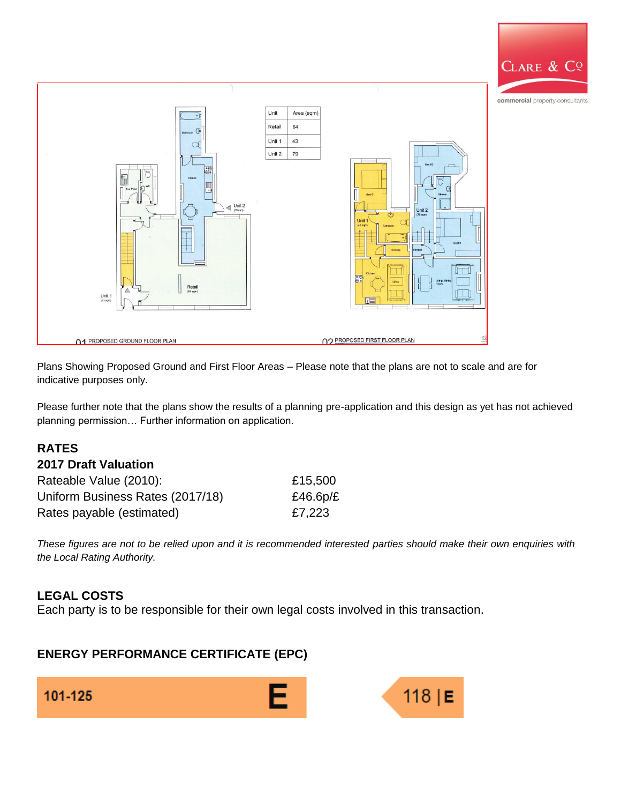

Plans Showing Proposed Ground and First Floor Areas – Please note that the plans are not to scale and are for indicative purposes only.

Please further note that the plans show the results of a planning pre-application and this design as yet has not achieved planning permission… Further information on application.

# **RATES**

#### **2017 Draft Valuation**

| Rateable Value (2010):           | £15,500     |
|----------------------------------|-------------|
| Uniform Business Rates (2017/18) | £46.6 $p/E$ |
| Rates payable (estimated)        | £7,223      |

*These figures are not to be relied upon and it is recommended interested parties should make their own enquiries with the Local Rating Authority.*

#### **LEGAL COSTS**

Each party is to be responsible for their own legal costs involved in this transaction.

# **ENERGY PERFORMANCE CERTIFICATE (EPC)**

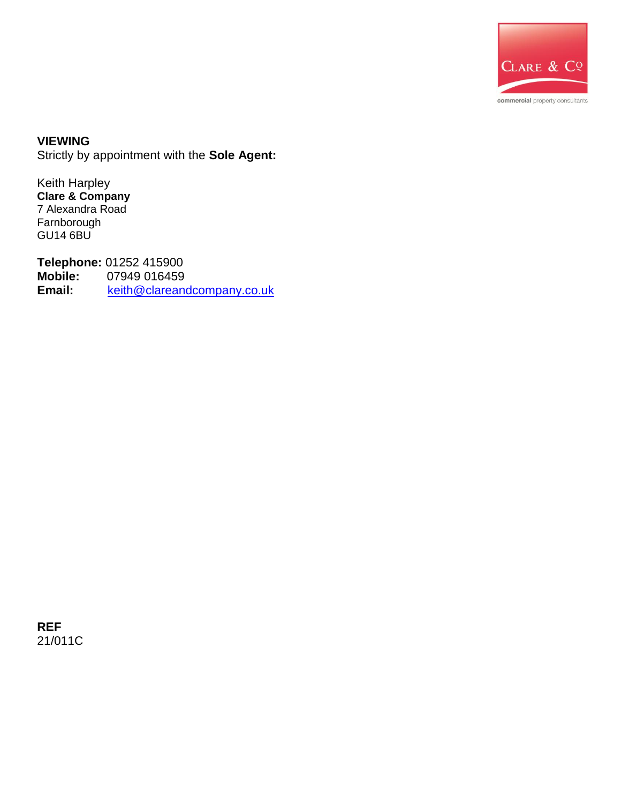

**VIEWING** Strictly by appointment with the **Sole Agent:** 

Keith Harpley **Clare & Company** 7 Alexandra Road Farnborough GU14 6BU

**Telephone: 01252 415900<br>Mobile: 07949 016459 Mobile:** 07949 016459 **Email:** [keith@clareandcompany.co.uk](mailto:keith@clareandcompany.co.uk)

**REF** 21/011C